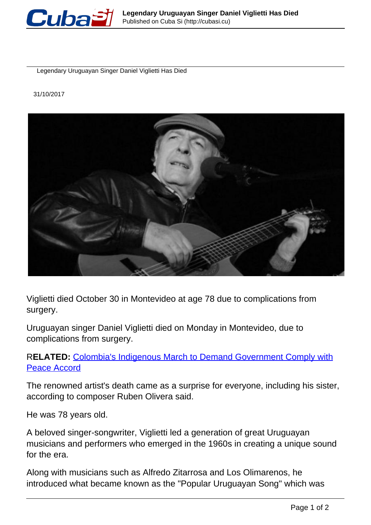

Legendary Uruguayan Singer Daniel Viglietti Has Died

31/10/2017



Viglietti died October 30 in Montevideo at age 78 due to complications from surgery.

Uruguayan singer Daniel Viglietti died on Monday in Montevideo, due to complications from surgery.

## R**ELATED:** [Colombia's Indigenous March to Demand Government Comply with](https://www.telesurtv.net/english/news/Colombias-Indigenous-March-to-Demand-Government-Comply-with-Peace-Accord-20171030-0009.html) [Peace Accord](https://www.telesurtv.net/english/news/Colombias-Indigenous-March-to-Demand-Government-Comply-with-Peace-Accord-20171030-0009.html)

The renowned artist's death came as a surprise for everyone, including his sister, according to composer Ruben Olivera said.

He was 78 years old.

A beloved singer-songwriter, Viglietti led a generation of great Uruguayan musicians and performers who emerged in the 1960s in creating a unique sound for the era.

Along with musicians such as Alfredo Zitarrosa and Los Olimarenos, he introduced what became known as the "Popular Uruguayan Song" which was